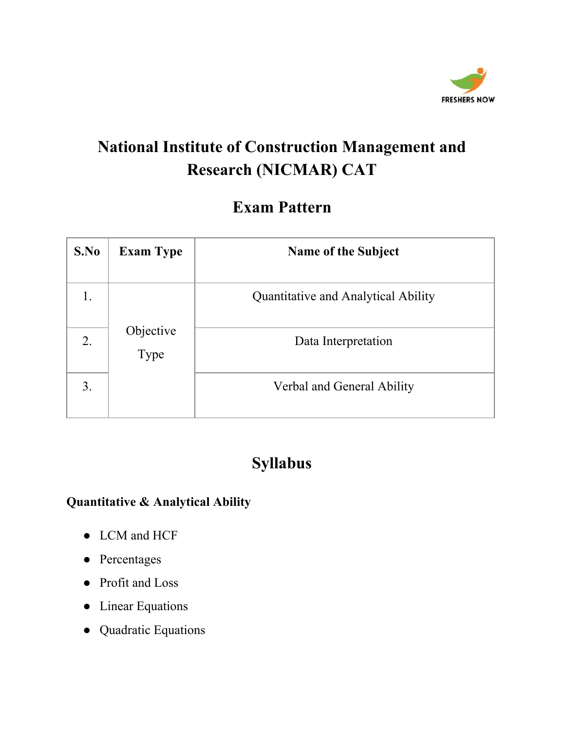

#### **Exam Pattern**

| S.No             | <b>Exam Type</b>  | <b>Name of the Subject</b>          |
|------------------|-------------------|-------------------------------------|
|                  |                   | Quantitative and Analytical Ability |
| 2.               | Objective<br>Type | Data Interpretation                 |
| $\mathfrak{Z}$ . |                   | Verbal and General Ability          |

#### **Syllabus**

#### **Quantitative & Analytical Ability**

- LCM and HCF
- Percentages
- Profit and Loss
- Linear Equations
- Quadratic Equations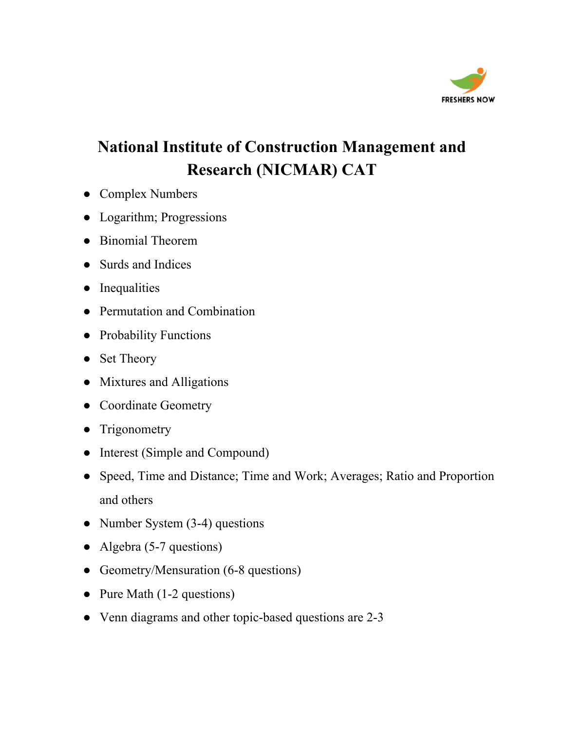

- Complex Numbers
- Logarithm; Progressions
- Binomial Theorem
- Surds and Indices
- Inequalities
- Permutation and Combination
- Probability Functions
- Set Theory
- Mixtures and Alligations
- Coordinate Geometry
- Trigonometry
- Interest (Simple and Compound)
- Speed, Time and Distance; Time and Work; Averages; Ratio and Proportion and others
- Number System  $(3-4)$  questions
- Algebra (5-7 questions)
- Geometry/Mensuration (6-8 questions)
- Pure Math (1-2 questions)
- Venn diagrams and other topic-based questions are 2-3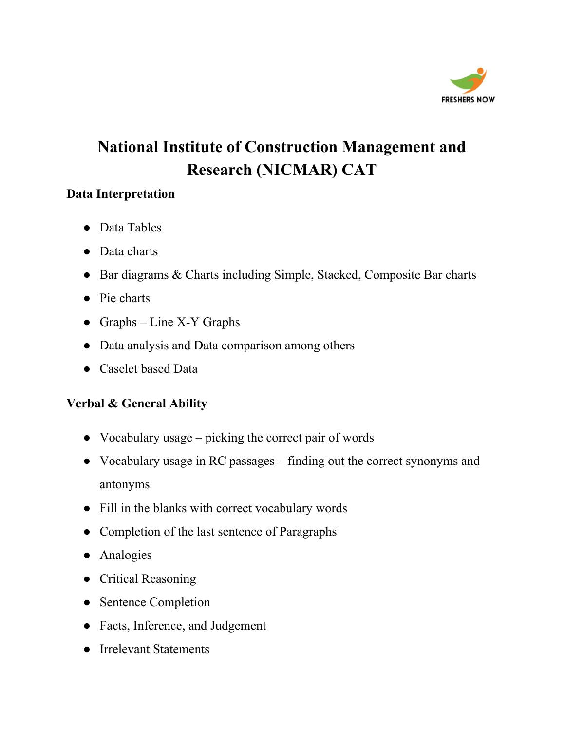

#### **Data Interpretation**

- Data Tables
- Data charts
- Bar diagrams & Charts including Simple, Stacked, Composite Bar charts
- Pie charts
- Graphs Line X-Y Graphs
- Data analysis and Data comparison among others
- Caselet based Data

#### **Verbal & General Ability**

- Vocabulary usage picking the correct pair of words
- Vocabulary usage in RC passages finding out the correct synonyms and antonyms
- Fill in the blanks with correct vocabulary words
- Completion of the last sentence of Paragraphs
- Analogies
- Critical Reasoning
- Sentence Completion
- Facts, Inference, and Judgement
- Irrelevant Statements